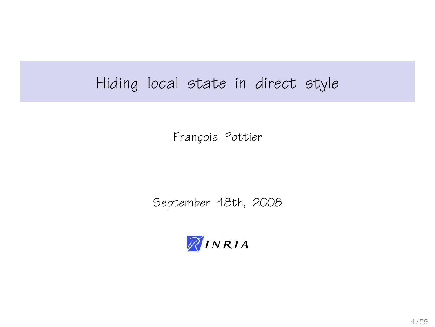### Hiding local state in direct style

François Pottier

September 18th, 2008

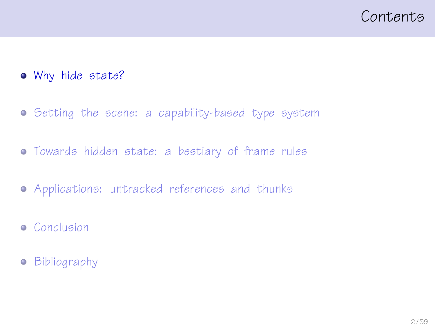### <span id="page-1-0"></span>Contents

- [Why hide state?](#page-1-0)
- **•** [Setting the scene: a capability-based type system](#page-9-0)
- [Towards hidden state: a bestiary of frame rules](#page-14-0)
- [Applications: untracked references and thunks](#page-22-0)
- **•** [Conclusion](#page-32-0)
- **•** [Bibliography](#page-35-0)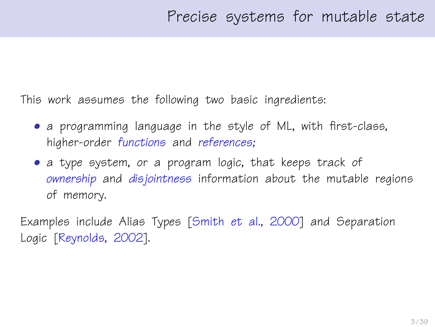This work assumes the following two basic ingredients:

- a programming language in the style of ML, with first-class, higher-order functions and references;
- a type system, or a program logic, that keeps track of ownership and disjointness information about the mutable regions of memory.

Examples include Alias Types [\[Smith et al., 2000\]](#page-38-0) and Separation Logic [\[Reynolds, 2002\]](#page-38-1).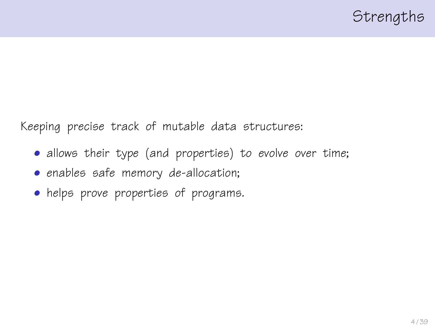Keeping precise track of mutable data structures:

- allows their type (and properties) to evolve over time;
- enables safe memory de-allocation;
- helps prove properties of programs.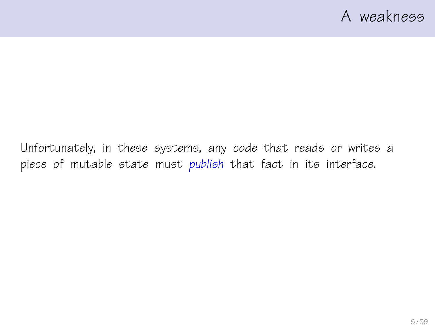Unfortunately, in these systems, any code that reads or writes a piece of mutable state must publish that fact in its interface.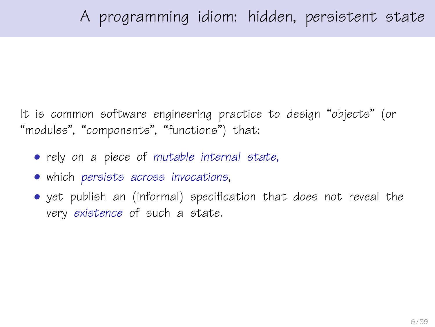It is common software engineering practice to design "objects" (or "modules", "components", "functions") that:

- rely on a piece of mutable internal state,
- which persists across invocations,
- yet publish an (informal) specification that does not reveal the very existence of such a state.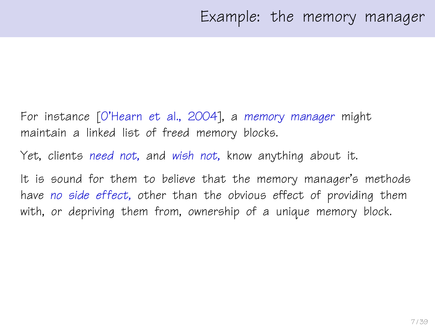- For instance [\[O'Hearn et al., 2004\]](#page-37-0), a memory manager might maintain a linked list of freed memory blocks.
- Yet, clients need not, and wish not, know anything about it.
- It is sound for them to believe that the memory manager's methods have no side effect, other than the obvious effect of providing them with, or depriving them from, ownership of a unique memory block.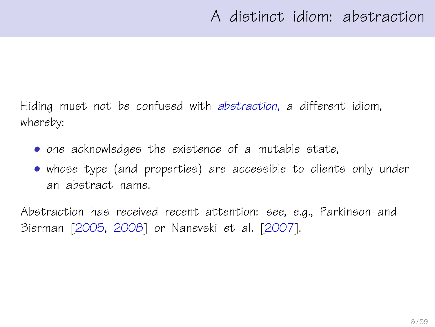Hiding must not be confused with abstraction, a different idiom, whereby:

- one acknowledges the existence of a mutable state,
- whose type (and properties) are accessible to clients only under an abstract name.

Abstraction has received recent attention: see, e.g., Parkinson and Bierman [\[2005,](#page-37-1) [2008\]](#page-38-2) or Nanevski et al. [\[2007\]](#page-37-2).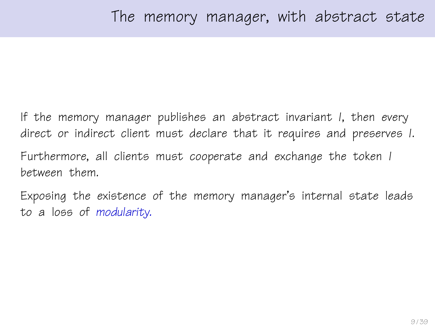If the memory manager publishes an abstract invariant I, then every direct or indirect client must declare that it requires and preserves I. Furthermore, all clients must cooperate and exchange the token I between them.

Exposing the existence of the memory manager's internal state leads to a loss of modularity.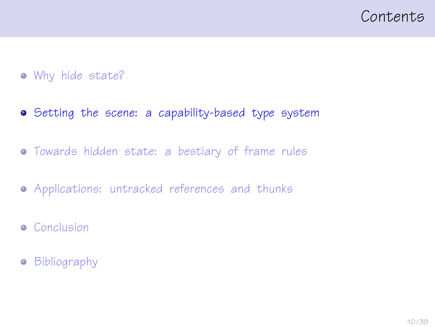### <span id="page-9-0"></span>Contents

- [Why hide state?](#page-1-0)
- [Setting the scene: a capability-based type system](#page-9-0)
- [Towards hidden state: a bestiary of frame rules](#page-14-0)
- [Applications: untracked references and thunks](#page-22-0)
- **•** [Conclusion](#page-32-0)
- **•** [Bibliography](#page-35-0)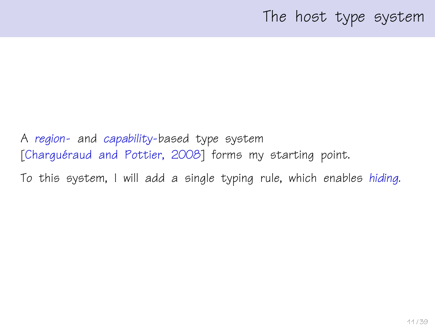### The host type system

A region- and capability-based type system [Charquéraud and Pottier, 2008] forms my starting point.

To this system, I will add a single typing rule, which enables hiding.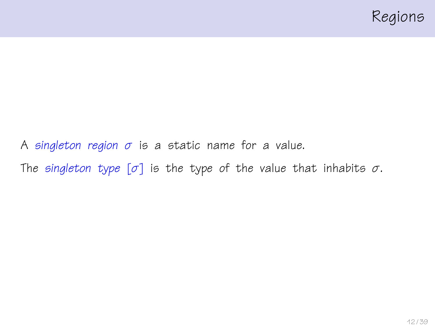

A singleton region  $\sigma$  is a static name for a value. The singleton type  $[\sigma]$  is the type of the value that inhabits  $\sigma$ .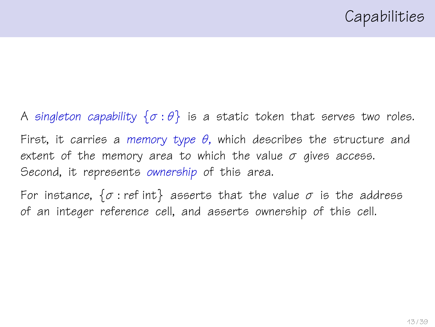A singleton capability  $\{\sigma : \theta\}$  is a static token that serves two roles. First, it carries a memory type  $\theta$ , which describes the structure and extent of the memory area to which the value  $\sigma$  gives access. Second, it represents ownership of this area.

For instance,  $\{\sigma : \text{ref int}\}$  asserts that the value  $\sigma$  is the address of an integer reference cell, and asserts ownership of this cell.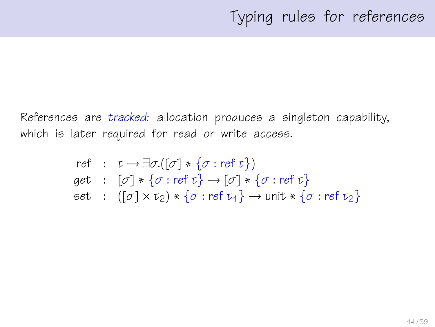References are tracked: allocation produces a singleton capability, which is later required for read or write access.

ref : 
$$
\tau \rightarrow \exists \sigma.([\sigma] * \{\sigma : \text{ref } \tau\})
$$
  
get :  $[\sigma] * \{\sigma : \text{ref } \tau\} \rightarrow [\sigma] * \{\sigma : \text{ref } \tau\}$   
set :  $([\sigma] \times \tau_2) * \{\sigma : \text{ref } \tau_4\} \rightarrow \text{unit} * \{\sigma : \text{ref } \tau_2\}$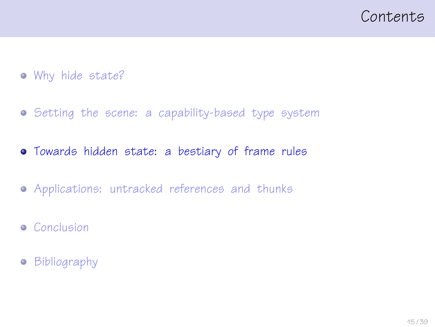<span id="page-14-0"></span>

- [Why hide state?](#page-1-0)
- **•** [Setting the scene: a capability-based type system](#page-9-0)
- [Towards hidden state: a bestiary of frame rules](#page-14-0)
- [Applications: untracked references and thunks](#page-22-0)
- **•** [Conclusion](#page-32-0)
- **•** [Bibliography](#page-35-0)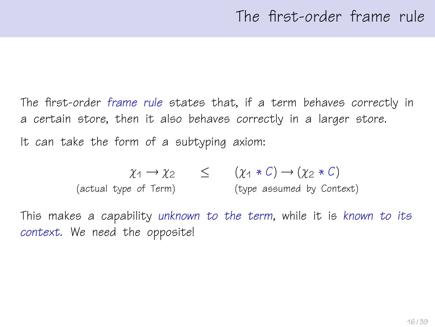The first-order frame rule states that, if a term behaves correctly in a certain store, then it also behaves correctly in a larger store. It can take the form of a subtyping axiom:

$$
\chi_1 \to \chi_2 \qquad \leq \qquad (\chi_1 * C) \to (\chi_2 * C)
$$
  
(actual type of Term) (type assumed by Context)

This makes a capability unknown to the term, while it is known to its context. We need the opposite!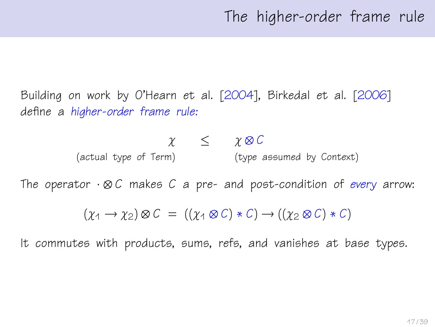Building on work by O'Hearn et al. [\[2004\]](#page-37-0), Birkedal et al. [\[2006\]](#page-36-1) define a higher-order frame rule:

$$
\begin{array}{ccc}\n\chi & \leq & \chi \otimes C \\
\text{(actual type of Term)} & & \text{(type assumed by Context)}\n\end{array}
$$

The operator  $\cdot \otimes C$  makes C a pre- and post-condition of every arrow:

$$
(\chi_1 \to \chi_2) \otimes C = ((\chi_1 \otimes C) * C) \to ((\chi_2 \otimes C) * C)
$$

It commutes with products, sums, refs, and vanishes at base types.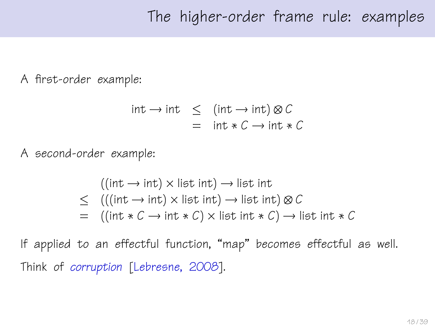A first-order example:

$$
int \rightarrow int \leq (int \rightarrow int) \otimes C
$$
  
= int \* C \rightarrow int \* C

A second-order example:

$$
((\text{int} \rightarrow \text{int}) \times \text{list int}) \rightarrow \text{list int}
$$
  
≤ 
$$
(((\text{int} \rightarrow \text{int}) \times \text{list int}) \rightarrow \text{list int}) \otimes C
$$
  
= 
$$
((\text{int} * C \rightarrow \text{int} * C) \times \text{list int} * C) \rightarrow \text{list int} * C
$$

If applied to an effectful function, "map" becomes effectful as well. Think of corruption [\[Lebresne, 2008\]](#page-36-2).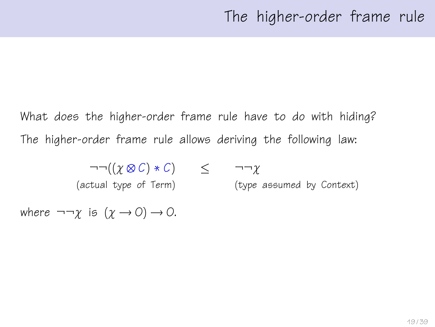What does the higher-order frame rule have to do with hiding? The higher-order frame rule allows deriving the following law:

$$
\neg \neg ((\chi \otimes C) * C) \leq \neg \neg \chi
$$
\n
$$
(\text{actual time of } \text{Term})
$$
\n
$$
(\text{true of } \text{Term})
$$
\n
$$
(\text{true of } \text{Term})
$$

(actual type of Term) (type assumed by Context)

where  $\neg\neg\gamma$  is  $(\gamma \rightarrow 0) \rightarrow 0$ .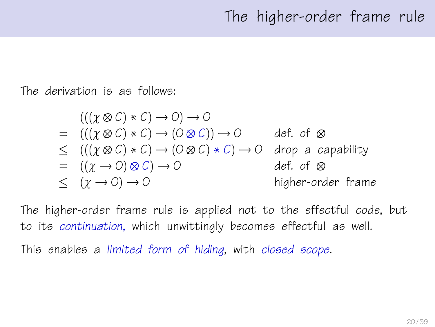The derivation is as follows:

$$
(((\chi \otimes C) * C) \rightarrow O) \rightarrow O
$$
\n
$$
= (((\chi \otimes C) * C) \rightarrow (O \otimes C)) \rightarrow O
$$
\n
$$
\leq (((\chi \otimes C) * C) \rightarrow (O \otimes C) * C) \rightarrow O
$$
\n
$$
= ((\chi \rightarrow O) \otimes C) \rightarrow O
$$
\n
$$
\leq (\chi \rightarrow O) \rightarrow O
$$
\n
$$
\leq (\chi \rightarrow O) \rightarrow O
$$
\n
$$
\leq (\chi \rightarrow O) \rightarrow O
$$
\n
$$
\leq (1 - \chi \rightarrow O) \rightarrow O
$$
\n
$$
\leq (1 - \chi \rightarrow O) \rightarrow O
$$
\n
$$
\leq (1 - \chi \rightarrow O) \rightarrow O
$$
\n
$$
\leq (1 - \chi \rightarrow O) \rightarrow O
$$
\n
$$
\leq (1 - \chi \rightarrow O) \rightarrow O
$$
\n
$$
\leq (1 - \chi \rightarrow O) \rightarrow O
$$
\n
$$
\leq (1 - \chi \rightarrow O) \rightarrow O
$$

The higher-order frame rule is applied not to the effectful code, but to its continuation, which unwittingly becomes effectful as well. This enables a limited form of hiding, with closed scope.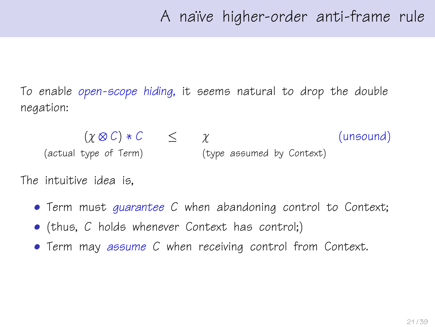To enable open-scope hiding, it seems natural to drop the double negation:

 $(\chi \otimes C) * C \leq \chi$  (unsound) (actual type of Term) (type assumed by Context)

The intuitive idea is,

- Term must guarantee C when abandoning control to Context;
- (thus, C holds whenever Context has control;)
- Term may assume C when receiving control from Context.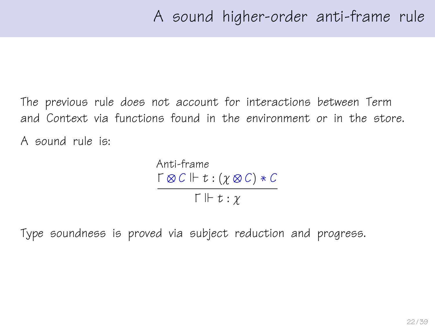The previous rule does not account for interactions between Term and Context via functions found in the environment or in the store. A sound rule is:

> Anti-frame  $\Gamma \otimes C \Vdash t : (\gamma \otimes C) * C$  $\Gamma \Vdash t : \gamma$

Type soundness is proved via subject reduction and progress.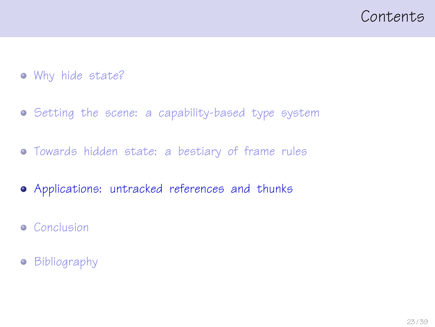### <span id="page-22-0"></span>Contents

- [Why hide state?](#page-1-0)
- **•** [Setting the scene: a capability-based type system](#page-9-0)
- [Towards hidden state: a bestiary of frame rules](#page-14-0)
- [Applications: untracked references and thunks](#page-22-0)
- **•** [Conclusion](#page-32-0)
- **•** [Bibliography](#page-35-0)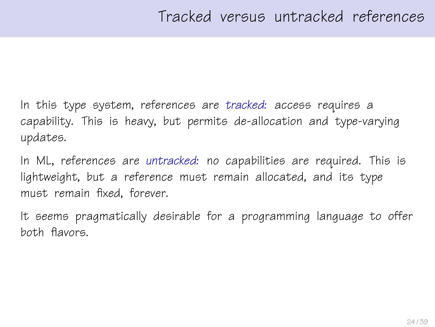In this type system, references are tracked: access requires a capability. This is heavy, but permits de-allocation and type-varying updates.

In ML, references are untracked: no capabilities are required. This is lightweight, but a reference must remain allocated, and its type must remain fixed, forever.

It seems pragmatically desirable for a programming language to offer both flavors.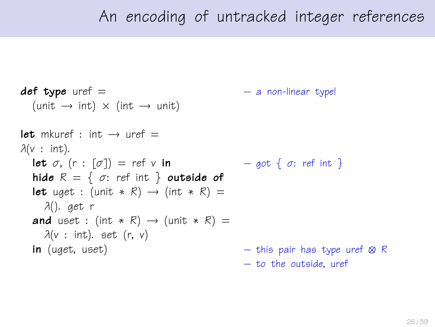### An encoding of untracked integer references

```
def type uref = - a non-linear type!
  (unit \rightarrow int) \times (int \rightarrow unit)
let mkuref \cdot int \rightarrow uref =\lambda(v : \text{int}).let \sigma, (r : [\sigma]) = ref v in - q \circ t \{ \sigma : ref \text{ int } \}hide R = \{ \sigma : \text{ref int } \} outside of
  let uget : (unit * R) \rightarrow (int * R) =
    λ(). get r
  and uset : (int * R) \rightarrow (unit * R) =
    \lambda(v : \text{int}). set (r, v)in (uget, uset) – this pair has type uref \otimes R
                                                  – to the outside, uref
```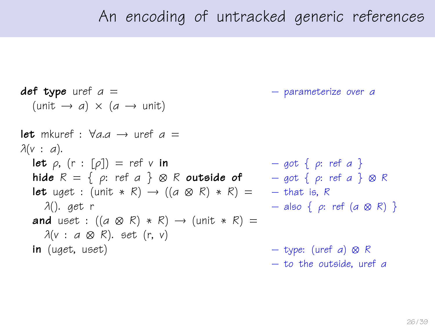### An encoding of untracked generic references

**def type** uref  $a =$   $-$  parameterize over a  $(\text{unit} \rightarrow a) \times (a \rightarrow \text{unit})$ let mkuref  $\cdot$   $\forall$ a  $\alpha \rightarrow$  uref  $\alpha =$  $\lambda(v : a)$ . **let**  $\rho$ ,  $(r : [\rho]) = ref \vee in$  – got  $\{ \rho : ref \cap \}$ hide  $R = \{ \rho: \text{ref } a \} \otimes R$  outside of  $\qquad - \text{got } \{ \rho: \text{ref } a \} \otimes R$ **let** uget : (unit \* R)  $\rightarrow$  ((a  $\otimes$  R) \* R) = – that is, R λ(). get r – also { ρ: ref (α ⊗ R) } and uset :  $((a \otimes R) * R) \rightarrow (unit * R) =$  $\lambda(v : a \otimes R)$ . set (r, v) **in** (uget, uset) – type: (uref a) ⊗ R – to the outside, uref α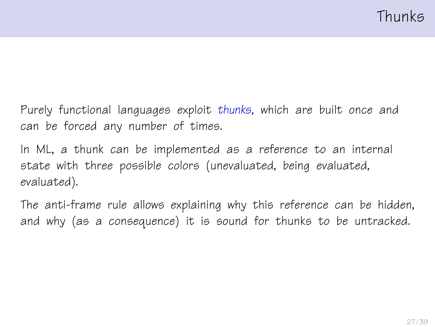Purely functional languages exploit thunks, which are built once and can be forced any number of times.

In ML, a thunk can be implemented as a reference to an internal state with three possible colors (unevaluated, being evaluated, evaluated).

The anti-frame rule allows explaining why this reference can be hidden, and why (as a consequence) it is sound for thunks to be untracked.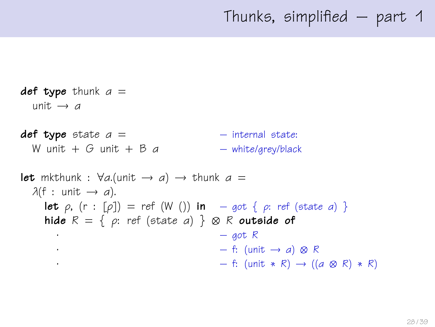def type thunk  $a =$ unit  $\rightarrow$  a  $def type state a =$  – internal state: W unit + G unit + B  $a$  – white/grey/black **let** mkthunk :  $\forall a$ .(unit  $\rightarrow a$ )  $\rightarrow$  thunk  $a =$  $\lambda(f : \text{unit} \rightarrow a)$ . **let**  $\rho$ ,  $(r : [\rho]) = ref(W())$  in – got  $\{\rho: ref (state \ a) \}$ hide  $R = \{ \rho: \text{ref } (\text{state } a) \} \otimes R$  outside of  $\cdot$  – got R  $\cdot$  – f: (unit → a) ⊗ R  $-$  f: (unit  $*$  R) → ((a  $\otimes$  R)  $*$  R)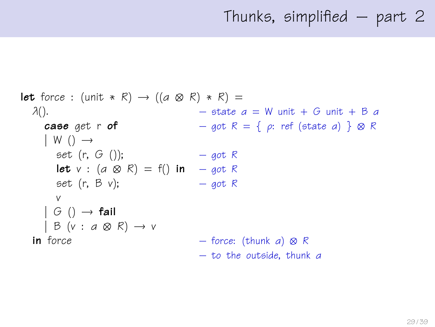```
let force : (unit * R) \rightarrow ((a \otimes R) * R) =
  \lambda(). – state a = W unit + G unit + B acase get r of - got R = \{ \rho : \text{ref} \text{ (state } a) \} \otimes R| W ( ) \rightarrowset (r, G)); - got R
      let v : (a \otimes R) = f() in – got R
      set (r, B v); - got R
     v
    | G ( ) \rightarrow fail
    | B (v : a \otimes R) \rightarrow vin force - force: (thunk a) \otimes R– to the outside, thunk α
```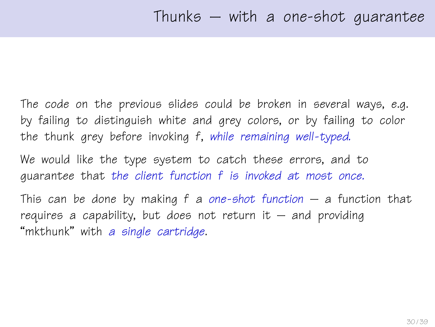The code on the previous slides could be broken in several ways, e.g. by failing to distinguish white and grey colors, or by failing to color the thunk grey before invoking f, while remaining well-typed.

We would like the type system to catch these errors, and to guarantee that the client function f is invoked at most once.

This can be done by making  $f$  a one-shot function – a function that requires a capability, but does not return it  $-$  and providing "mkthunk" with a single cartridge.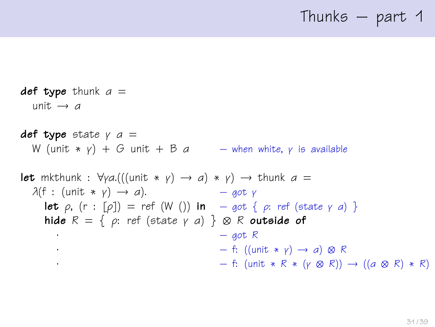### Thunks  $-$  part 1

def type thunk  $a =$ unit  $\rightarrow$  a **def type** state  $\gamma$  a = W (unit  $* y$ ) + G unit + B a – when white, y is available **let** mkthunk :  $\forall y a. (((unit * y) \rightarrow a) * y) \rightarrow thunk a =$  $\lambda(f : (\text{unit } * \gamma) \rightarrow a).$  – got γ **let**  $\rho$ ,  $(r : [\rho]) = ref (W())$  in  $-got \{ \rho : ref (state \gamma \ a) \}$ hide  $R = \{ \rho: \text{ref } (\text{state } \gamma \text{ a}) \} \otimes R$  outside of  $-$  got R  $\cdot$  – f: ((unit  $\star$  *v*)  $\rightarrow$  *a*) ⊗ R  $-$  f: (unit  $* R * (γ \otimes R) \rightarrow ((a \otimes R) * R)$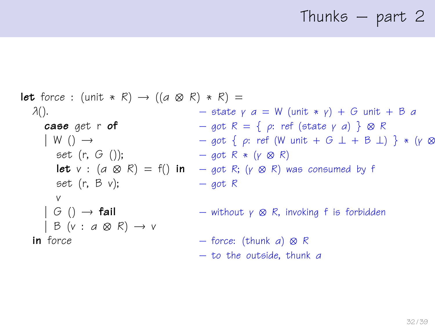# Thunks – part 2

**let** force: (unit \* R) 
$$
\rightarrow
$$
 ((a & R) \* R) =

\n $\lambda()$ .

\n**case** get  $\mathbf{r} \cdot \mathbf{of}$ 

\n $\rightarrow$  get  $\mathbf{r} \cdot \mathbf{of}$ 

\n $\downarrow$  W()  $\rightarrow$ 

\n $\rightarrow$  get  $\{ \rho : \text{ref} \text{ (state } \gamma a) \} \otimes R$ 

\n $\downarrow$  W()  $\rightarrow$ 

\n $\rightarrow$  get  $\{ \rho : \text{ref} \text{ (W unit } + G \perp + B \perp) \} * (\gamma \otimes R)$ 

\n $\downarrow$  get  $(\mathbf{r}, G()$ );

\n $\rightarrow$  got  $R * (\gamma \otimes R)$ 

\n $\downarrow$  get  $(\mathbf{r}, B \vee)$ ;

\n $\downarrow$  get  $(\mathbf{r}, B \vee)$ ;

\n $\rightarrow$  get  $\mathbf{r} \cdot \mathbf{or} \cdot \mathbf{or} \cdot \mathbf{or} \cdot \mathbf{or} \cdot \mathbf{or} \cdot \mathbf{or} \cdot \mathbf{or} \cdot \mathbf{or} \cdot \mathbf{or} \cdot \mathbf{or} \cdot \mathbf{or} \cdot \mathbf{or} \cdot \mathbf{or} \cdot \mathbf{or} \cdot \mathbf{or} \cdot \mathbf{or} \cdot \mathbf{or} \cdot \mathbf{or} \cdot \mathbf{or} \cdot \mathbf{or} \cdot \mathbf{or} \cdot \mathbf{or} \cdot \mathbf{or} \cdot \mathbf{or} \cdot \mathbf{or} \cdot \mathbf{or} \cdot \mathbf{or} \cdot \mathbf{or} \cdot \mathbf{or} \cdot \mathbf{or} \cdot \mathbf{or} \cdot \mathbf{or} \cdot \mathbf{or} \cdot \mathbf{or} \cdot \mathbf{or} \cdot \mathbf{or} \cdot \mathbf{or} \cdot \mathbf{or} \cdot \mathbf{or} \cdot \mathbf{or} \cdot \mathbf{or} \cdot \mathbf{or} \cdot \mathbf{or} \cdot \mathbf{or} \cdot \mathbf{or} \cdot \mathbf{or} \cdot \mathbf{or} \cdot \mathbf{or} \cdot \math$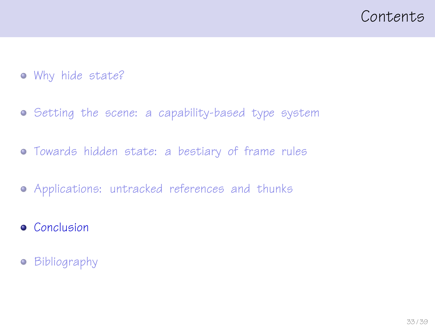### <span id="page-32-0"></span>Contents

- [Why hide state?](#page-1-0)
- [Setting the scene: a capability-based type system](#page-9-0)
- [Towards hidden state: a bestiary of frame rules](#page-14-0)
- [Applications: untracked references and thunks](#page-22-0)
- **•** [Conclusion](#page-32-0)
- **•** [Bibliography](#page-35-0)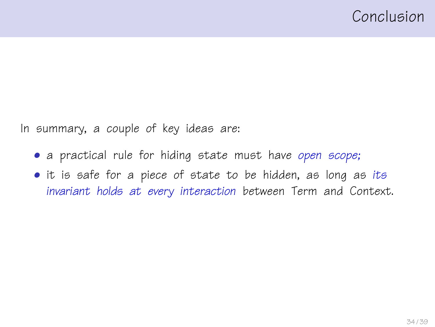In summary, a couple of key ideas are:

- a practical rule for hiding state must have open scope;
- it is safe for a piece of state to be hidden, as long as its invariant holds at every interaction between Term and Context.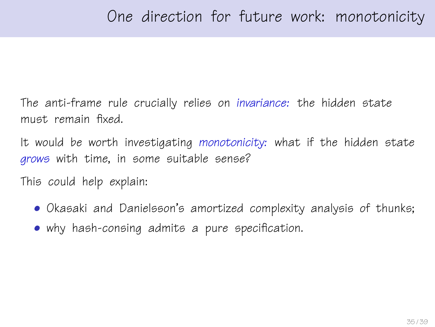The anti-frame rule crucially relies on invariance: the hidden state must remain fixed.

It would be worth investigating monotonicity: what if the hidden state grows with time, in some suitable sense?

This could help explain:

- Okasaki and Danielsson's amortized complexity analysis of thunks;
- why hash-consing admits a pure specification.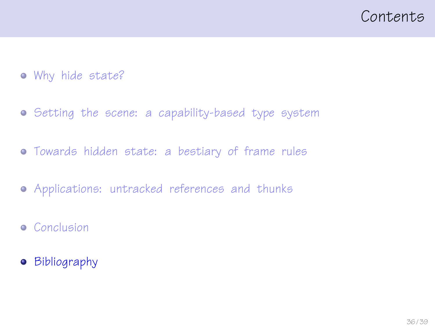### <span id="page-35-0"></span>Contents

- [Why hide state?](#page-1-0)
- **•** [Setting the scene: a capability-based type system](#page-9-0)
- [Towards hidden state: a bestiary of frame rules](#page-14-0)
- [Applications: untracked references and thunks](#page-22-0)
- **•** [Conclusion](#page-32-0)
- [Bibliography](#page-35-0)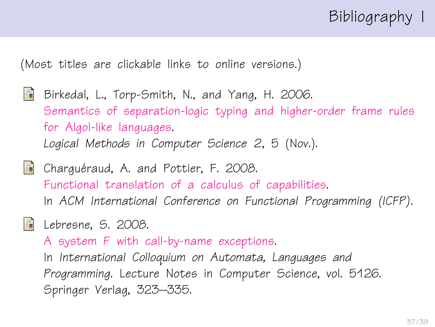## Bibliography I

(Most titles are clickable links to online versions.)

- <span id="page-36-1"></span>Birkedal, L., Torp-Smith, N., and Yang, H. 2006. [Semantics of separation-logic typing and higher-order frame rules](http://arxiv.org/pdf/cs.LO/0610081) [for Algol-like languages.](http://arxiv.org/pdf/cs.LO/0610081) Logical Methods in Computer Science 2, 5 (Nov.).
- <span id="page-36-0"></span>**Charguéraud, A. and Pottier, F. 2008.** [Functional translation of a calculus of capabilities.](http://cristal.inria.fr/~fpottier/publis/chargueraud-pottier-capabilities.pdf) In ACM International Conference on Functional Programming (ICFP).
- <span id="page-36-2"></span>

**E** Lebresne, S. 2008.

A system F [with call-by-name exceptions.](http://www.pps.jussieu.fr/~lebresne/papers/SystemFWithExceptions.pdf)

In International Colloquium on Automata, Languages and Programming. Lecture Notes in Computer Science, vol. 5126. Springer Verlag, 323–335.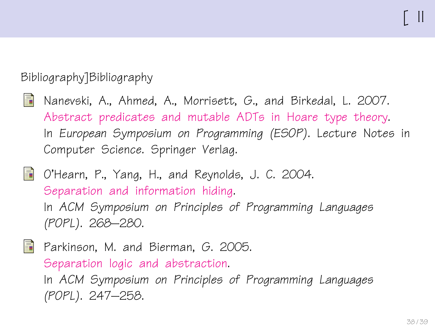#### Bibliography]Bibliography

- <span id="page-37-2"></span>靠 Nanevski, A., Ahmed, A., Morrisett, G., and Birkedal, L. 2007. [Abstract predicates and mutable ADTs in Hoare type theory.](http://www.eecs.harvard.edu/~aleks/papers/hoarelogic/esop07.pdf) In European Symposium on Programming (ESOP). Lecture Notes in Computer Science. Springer Verlag.
- <span id="page-37-0"></span>O'Hearn, P., Yang, H., and Reynolds, J. C. 2004. [Separation and information hiding.](http://www.dcs.qmul.ac.uk/~ohearn/papers/separation-and-hiding.pdf) In ACM Symposium on Principles of Programming Languages (POPL). 268–280.

<span id="page-37-1"></span>F Parkinson, M. and Bierman, G. 2005. [Separation logic and abstraction.](http://www.cl.cam.ac.uk/~mjp41/p205-parkinson.pdf) In ACM Symposium on Principles of Programming Languages (POPL). 247–258.